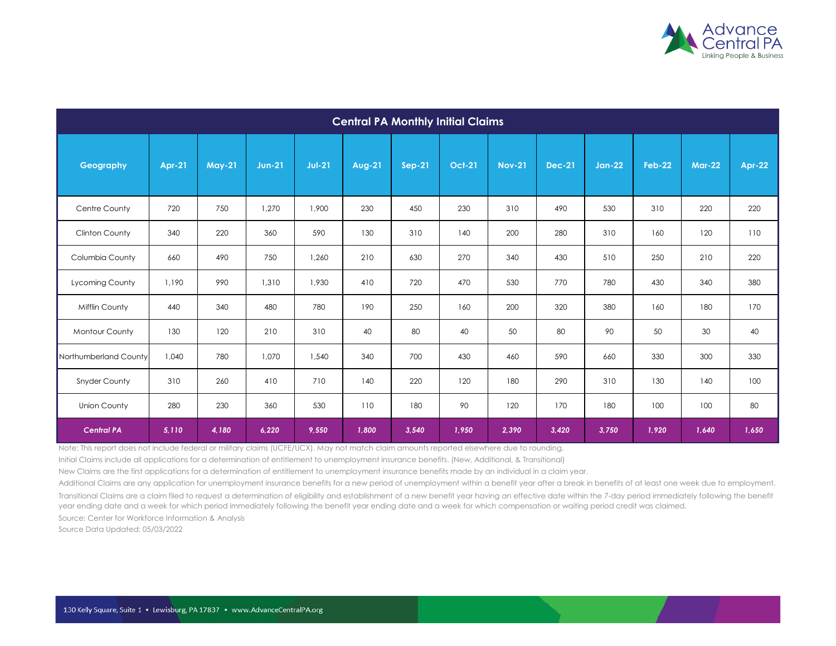

| <b>Central PA Monthly Initial Claims</b> |               |               |               |          |               |        |               |               |               |               |               |               |               |
|------------------------------------------|---------------|---------------|---------------|----------|---------------|--------|---------------|---------------|---------------|---------------|---------------|---------------|---------------|
| Geography                                | <b>Apr-21</b> | <b>May-21</b> | <b>Jun-21</b> | $Jul-21$ | <b>Aug-21</b> | Sep-21 | <b>Oct-21</b> | <b>Nov-21</b> | <b>Dec-21</b> | <b>Jan-22</b> | <b>Feb-22</b> | <b>Mar-22</b> | <b>Apr-22</b> |
| Centre County                            | 720           | 750           | 1,270         | 1,900    | 230           | 450    | 230           | 310           | 490           | 530           | 310           | 220           | 220           |
| Clinton County                           | 340           | 220           | 360           | 590      | 130           | 310    | 140           | 200           | 280           | 310           | 160           | 120           | 110           |
| Columbia County                          | 660           | 490           | 750           | 1,260    | 210           | 630    | 270           | 340           | 430           | 510           | 250           | 210           | 220           |
| Lycoming County                          | 1,190         | 990           | 1,310         | 1,930    | 410           | 720    | 470           | 530           | 770           | 780           | 430           | 340           | 380           |
| Mifflin County                           | 440           | 340           | 480           | 780      | 190           | 250    | 160           | 200           | 320           | 380           | 160           | 180           | 170           |
| Montour County                           | 130           | 120           | 210           | 310      | 40            | 80     | 40            | 50            | 80            | 90            | 50            | 30            | 40            |
| Northumberland County                    | 1,040         | 780           | 1,070         | 1,540    | 340           | 700    | 430           | 460           | 590           | 660           | 330           | 300           | 330           |
| <b>Snyder County</b>                     | 310           | 260           | 410           | 710      | 140           | 220    | 120           | 180           | 290           | 310           | 130           | 140           | 100           |
| <b>Union County</b>                      | 280           | 230           | 360           | 530      | 110           | 180    | 90            | 120           | 170           | 180           | 100           | 100           | 80            |
| <b>Central PA</b>                        | 5,110         | 4,180         | 6,220         | 9,550    | 1,800         | 3,540  | 1,950         | 2,390         | 3,420         | 3,750         | 1,920         | 1,640         | 1,650         |

Note: This report does not include federal or military claims (UCFE/UCX). May not match claim amounts reported elsewhere due to rounding.

Initial Claims include all applications for a determination of entitlement to unemployment insurance benefits. (New, Additional, & Transitional)

New Claims are the first applications for a determination of entitlement to unemployment insurance benefits made by an individual in a claim year.

Additional Claims are any application for unemployment insurance benefits for a new period of unemployment within a benefit year after a break in benefits of at least one week due to employment. Transitional Claims are a claim filed to request a determination of eligibility and establishment of a new benefit year having an effective date within the 7-day period immediately following the benefit year ending date and a week for which period immediately following the benefit year ending date and a week for which compensation or waiting period credit was claimed. Source: Center for Workforce Information & Analysis

Source Data Updated: 05/03/2022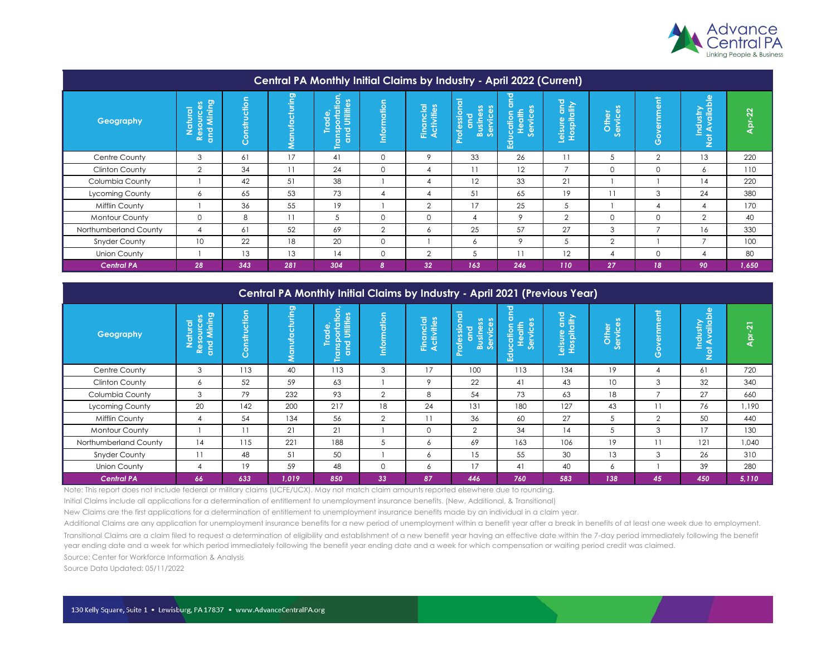

| <b>Central PA Monthly Initial Claims by Industry - April 2022 (Current)</b> |                                           |                                                 |               |                                                                                        |                |                         |                                                                                            |                                                         |                            |                   |                                                   |                                             |        |
|-----------------------------------------------------------------------------|-------------------------------------------|-------------------------------------------------|---------------|----------------------------------------------------------------------------------------|----------------|-------------------------|--------------------------------------------------------------------------------------------|---------------------------------------------------------|----------------------------|-------------------|---------------------------------------------------|---------------------------------------------|--------|
| Geography                                                                   | Resources<br>and Mining<br><b>Natural</b> | uction<br>nstr<br>$\overline{O}$<br>$\tilde{O}$ | Manufacturing | E.<br>စိ<br>$\mathbf{P}$<br><b>Jillif</b><br>o<br>O.<br>$\sigma$<br>၊မ္တ<br><b>Pup</b> | Information    | Financial<br>Activities | $\sigma$<br>rofession<br>ဖြိ<br>$\bf\ddot{\bf o}$<br><b>Busines</b><br>밈<br>$\overline{O}$ | 짇<br>o<br>$\sim$<br>lucation<br>Health<br>Services<br>ヱ | Leisure and<br>Hospitality | Other<br>Services | ent<br>ernme<br>$\delta$<br>$\boldsymbol{\sigma}$ | vailable<br>Industry<br>⋖<br>$\overline{5}$ | Apr-22 |
| Centre County                                                               | 3                                         | 61                                              | 17            | 41                                                                                     | $\mathbf 0$    | 9                       | 33                                                                                         | 26                                                      | 11                         |                   | $\overline{2}$                                    | 13                                          | 220    |
| Clinton County                                                              | 2                                         | 34                                              | 11            | 24                                                                                     | $\mathbf 0$    | 4                       | 11                                                                                         | 12                                                      | $\overline{ }$             | $\Omega$          | $\mathbf 0$                                       | 6                                           | 110    |
| Columbia County                                                             |                                           | 42                                              | 51            | 38                                                                                     |                | 4                       | 12                                                                                         | 33                                                      | 21                         |                   |                                                   | 14                                          | 220    |
| Lycoming County                                                             | 6                                         | 65                                              | 53            | 73                                                                                     | $\overline{4}$ | 4                       | 51                                                                                         | 65                                                      | 19                         | 11                | 3                                                 | 24                                          | 380    |
| <b>Mifflin County</b>                                                       |                                           | 36                                              | 55            | 19                                                                                     |                | $\overline{2}$          | 17                                                                                         | 25                                                      | 5                          |                   | -4                                                | 4                                           | 170    |
| <b>Montour County</b>                                                       | $\Omega$                                  | 8                                               | 11            | 5                                                                                      | $\Omega$       | $\mathbf 0$             | 4                                                                                          | 9                                                       | $\overline{2}$             | $\Omega$          | $\Omega$                                          | $\overline{2}$                              | 40     |
| Northumberland County                                                       | $\overline{4}$                            | 61                                              | 52            | 69                                                                                     | $\overline{2}$ | 6                       | 25                                                                                         | 57                                                      | 27                         | 3                 | $\overline{ }$                                    | 16                                          | 330    |
| <b>Snyder County</b>                                                        | 10                                        | 22                                              | 18            | 20                                                                                     | $\mathbf 0$    |                         | 6                                                                                          | 9                                                       | 5                          | $\overline{2}$    |                                                   | $\overline{7}$                              | 100    |
| <b>Union County</b>                                                         |                                           | 13                                              | 13            | 14                                                                                     | $\mathbf 0$    | $\overline{2}$          | 5                                                                                          | 11                                                      | 12                         | 4                 | $\mathbf 0$                                       | 4                                           | 80     |
| <b>Central PA</b>                                                           | 28                                        | 343                                             | 281           | 304                                                                                    | 8              | 32                      | 163                                                                                        | 246                                                     | 110                        | 27                | 18                                                | 90                                          | 1,650  |

| <b>Central PA Monthly Initial Claims by Industry - April 2021 (Previous Year)</b> |                                        |                                          |               |                                                                                                                    |                 |                                |                                                         |                                                             |                                                      |                        |                                         |                                                                             |               |
|-----------------------------------------------------------------------------------|----------------------------------------|------------------------------------------|---------------|--------------------------------------------------------------------------------------------------------------------|-----------------|--------------------------------|---------------------------------------------------------|-------------------------------------------------------------|------------------------------------------------------|------------------------|-----------------------------------------|-----------------------------------------------------------------------------|---------------|
| Geography                                                                         | Resources<br>and Mining<br>atural<br>z | ction<br>Ď<br>hstr<br>$\circ$<br>$\circ$ | Manufacturing | tion<br>ကိ<br><b>JHIH</b><br>छ<br>$\overline{\mathrm{o}}$<br>$\Omega$<br>င္တ<br><b>Paro</b><br>c<br>$\overline{a}$ | ation<br>Inform | <b>Financial</b><br>Activities | <b>Professional</b><br><b>Business</b><br>Services<br>൶ | ਹ<br>$\epsilon$<br>n<br>lucation<br>Health<br>Services<br>꼾 | sure and<br><sub>spitality</sub><br>Leisure<br>Hospi | ທ<br>Other<br>Services | 高<br>ernme<br>$\circ$<br>$\overline{O}$ | ailable<br>(iis<br>∍<br>$\overline{\mathbf{C}}$<br>⋖<br>ξŽ<br>$\frac{1}{2}$ | <b>Apr-21</b> |
| Centre County                                                                     | 3                                      | 113                                      | 40            | 113                                                                                                                | 3               | 17                             | 100                                                     | 113                                                         | 134                                                  | 19                     | 4                                       | 61                                                                          | 720           |
| Clinton County                                                                    | 6                                      | 52                                       | 59            | 63                                                                                                                 |                 | 9                              | 22                                                      | 41                                                          | 43                                                   | 10 <sup>°</sup>        | 3                                       | 32                                                                          | 340           |
| Columbia County                                                                   | 3                                      | 79                                       | 232           | 93                                                                                                                 | 2               | 8                              | 54                                                      | 73                                                          | 63                                                   | 18                     | $\overline{ }$                          | 27                                                                          | 660           |
| Lycoming County                                                                   | 20                                     | 142                                      | 200           | 217                                                                                                                | 18              | 24                             | 131                                                     | 180                                                         | 127                                                  | 43                     | 11                                      | 76                                                                          | 1,190         |
| Mifflin County                                                                    | 4                                      | 54                                       | 134           | 56                                                                                                                 | $\overline{2}$  | 11                             | 36                                                      | 60                                                          | 27                                                   | 5                      | $\overline{2}$                          | 50                                                                          | 440           |
| <b>Montour County</b>                                                             |                                        | 11                                       | 21            | 21                                                                                                                 |                 | $\Omega$                       | $\overline{2}$                                          | 34                                                          | 14                                                   | 5                      | 3                                       | 17                                                                          | 130           |
| Northumberland County                                                             | 14                                     | 115                                      | 221           | 188                                                                                                                | 5               | 6                              | 69                                                      | 163                                                         | 106                                                  | 19                     | 11                                      | 121                                                                         | 1,040         |
| <b>Snyder County</b>                                                              | 11                                     | 48                                       | 51            | 50                                                                                                                 |                 | 6                              | 15                                                      | 55                                                          | 30                                                   | 13                     | 3                                       | 26                                                                          | 310           |
| Union County                                                                      | 4                                      | 19                                       | 59            | 48                                                                                                                 | $\mathbf 0$     | 6                              | 17                                                      | 41                                                          | 40                                                   | 6                      |                                         | 39                                                                          | 280           |
| <b>Central PA</b>                                                                 | 66                                     | 633                                      | 1,019         | 850                                                                                                                | 33 <sup>°</sup> | 87                             | 446                                                     | 760                                                         | 583                                                  | 138                    | 45                                      | 450                                                                         | 5,110         |

Note: This report does not include federal or military claims (UCFE/UCX). May not match claim amounts reported elsewhere due to rounding.

Initial Claims include all applications for a determination of entitlement to unemployment insurance benefits. (New, Additional, & Transitional)

New Claims are the first applications for a determination of entitlement to unemployment insurance benefits made by an individual in a claim year.

Additional Claims are any application for unemployment insurance benefits for a new period of unemployment within a benefit year after a break in benefits of at least one week due to employment. Transitional Claims are a claim filed to request a determination of eligibility and establishment of a new benefit year having an effective date within the 7-day period immediately following the benefit year ending date and a week for which period immediately following the benefit year ending date and a week for which compensation or waiting period credit was claimed.

Source: Center for Workforce Information & Analysis

Source Data Updated: 05/11/2022